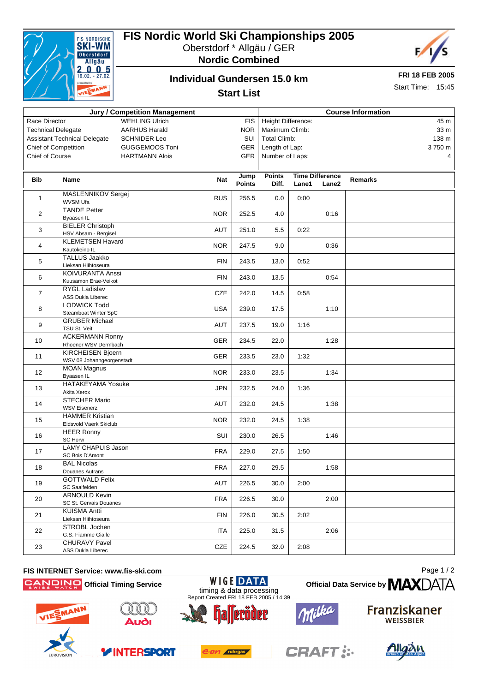

## **FIS Nordic World Ski Championships 2005**

Oberstdorf \* Allgäu / GER



**Nordic Combined**

### **Individual Gundersen 15.0 km**

**FRI 18 FEB 2005**

Start Time: 15:45

### **Start List**

| <b>Jury / Competition Management</b>                       |                                                  |            |               | <b>Course Information</b> |       |                        |         |        |
|------------------------------------------------------------|--------------------------------------------------|------------|---------------|---------------------------|-------|------------------------|---------|--------|
| <b>WEHLING Ulrich</b><br>Race Director                     |                                                  |            | <b>FIS</b>    | Height Difference:        |       |                        |         | 45 m   |
| <b>Technical Delegate</b><br><b>AARHUS Harald</b>          |                                                  |            | <b>NOR</b>    | Maximum Climb:            |       |                        |         | 33 m   |
| <b>Assistant Technical Delegate</b><br><b>SCHNIDER Leo</b> |                                                  |            | SUI           | <b>Total Climb:</b>       |       |                        |         | 138 m  |
| <b>Chief of Competition</b><br><b>GUGGEMOOS Toni</b>       |                                                  |            | <b>GER</b>    | Length of Lap:            |       |                        |         | 3750 m |
| Chief of Course<br><b>HARTMANN Alois</b>                   |                                                  |            | GER           | Number of Laps:           |       |                        |         | 4      |
|                                                            |                                                  |            |               |                           |       |                        |         |        |
|                                                            |                                                  |            | Jump          | <b>Points</b>             |       | <b>Time Difference</b> |         |        |
| Bib                                                        | Name                                             | Nat        | <b>Points</b> | Diff.                     | Lane1 | Lane2                  | Remarks |        |
| 1                                                          | MASLENNIKOV Sergej<br><b>WVSM Ufa</b>            | <b>RUS</b> | 256.5         | 0.0                       | 0:00  |                        |         |        |
| 2                                                          | <b>TANDE Petter</b><br>Byaasen IL                | <b>NOR</b> | 252.5         | 4.0                       |       | 0:16                   |         |        |
| 3                                                          | <b>BIELER Christoph</b><br>HSV Absam - Bergisel  | AUT        | 251.0         | 5.5                       | 0:22  |                        |         |        |
| 4                                                          | <b>KLEMETSEN Havard</b><br>Kautokeino IL         | <b>NOR</b> | 247.5         | 9.0                       |       | 0:36                   |         |        |
|                                                            | <b>TALLUS Jaakko</b>                             |            |               |                           |       |                        |         |        |
| 5                                                          | Lieksan Hiihtoseura                              | <b>FIN</b> | 243.5         | 13.0                      | 0:52  |                        |         |        |
| 6                                                          | KOIVURANTA Anssi<br>Kuusamon Erae-Veikot         | <b>FIN</b> | 243.0         | 13.5                      |       | 0:54                   |         |        |
| $\overline{7}$                                             | <b>RYGL Ladislav</b><br>ASS Dukla Liberec        | CZE        | 242.0         | 14.5                      | 0:58  |                        |         |        |
| 8                                                          | <b>LODWICK Todd</b><br>Steamboat Winter SpC      | <b>USA</b> | 239.0         | 17.5                      |       | 1:10                   |         |        |
| 9                                                          | <b>GRUBER Michael</b>                            | AUT        | 237.5         | 19.0                      | 1:16  |                        |         |        |
| 10                                                         | TSU St. Veit<br><b>ACKERMANN Ronny</b>           | GER        | 234.5         | 22.0                      |       | 1:28                   |         |        |
| 11                                                         | Rhoener WSV Dermbach<br>KIRCHEISEN Bjoern        | <b>GER</b> | 233.5         | 23.0                      | 1:32  |                        |         |        |
|                                                            | WSV 08 Johanngeorgenstadt                        |            |               |                           |       |                        |         |        |
| 12                                                         | <b>MOAN Magnus</b><br>Byaasen IL                 | <b>NOR</b> | 233.0         | 23.5                      |       | 1:34                   |         |        |
| 13                                                         | <b>HATAKEYAMA Yosuke</b><br>Akita Xerox          | <b>JPN</b> | 232.5         | 24.0                      | 1:36  |                        |         |        |
| 14                                                         | <b>STECHER Mario</b><br><b>WSV Eisenerz</b>      | AUT        | 232.0         | 24.5                      |       | 1:38                   |         |        |
| 15                                                         | <b>HAMMER Kristian</b><br>Eidsvold Vaerk Skiclub | <b>NOR</b> | 232.0         | 24.5                      | 1:38  |                        |         |        |
| 16                                                         | <b>HEER Ronny</b><br><b>SC Horw</b>              | SUI        | 230.0         | 26.5                      |       | 1:46                   |         |        |
| 17                                                         | <b>LAMY CHAPUIS Jason</b><br>SC Bois D'Amont     | <b>FRA</b> | 229.0         | 27.5                      | 1:50  |                        |         |        |
| 18                                                         | <b>BAL Nicolas</b><br>Douanes Autrans            | <b>FRA</b> | 227.0         | 29.5                      |       | 1:58                   |         |        |
| 19                                                         | <b>GOTTWALD Felix</b>                            | AUT        | 226.5         | 30.0                      | 2:00  |                        |         |        |
| 20                                                         | SC Saalfelden<br><b>ARNOULD Kevin</b>            | <b>FRA</b> | 226.5         | 30.0                      |       | 2:00                   |         |        |
|                                                            | SC St. Gervais Douanes<br>KUISMA Antti           |            |               |                           |       |                        |         |        |
| 21                                                         | Lieksan Hiihtoseura                              | <b>FIN</b> | 226.0         | 30.5                      | 2:02  |                        |         |        |
| 22                                                         | STROBL Jochen<br>G.S. Fiamme Gialle              | ITA        | 225.0         | 31.5                      |       | 2:06                   |         |        |
| 23                                                         | <b>CHURAVY Pavel</b><br>ASS Dukla Liberec        | CZE        | 224.5         | 32.0                      | 2:08  |                        |         |        |









**YINTERSPORT** 



e.on ruhrgas

timing & data processing

**WIGE DATA** 

Report Created FRI 18 FEB 2005 / 14:39



**CRAFT:**